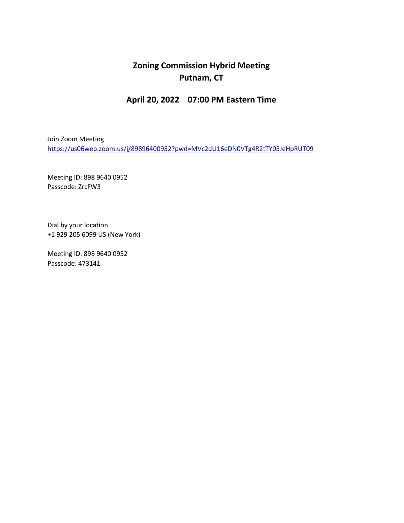## **Zoning Commission Hybrid Meeting Putnam, CT**

## **April 20, 2022 07:00 PM Eastern Time**

Join Zoom Meeting <https://us06web.zoom.us/j/89896400952?pwd=MVc2dU16eDN0VTg4R2tTY05JeHpRUT09>

Meeting ID: 898 9640 0952 Passcode: ZrcFW3

Dial by your location +1 929 205 6099 US (New York)

Meeting ID: 898 9640 0952 Passcode: 473141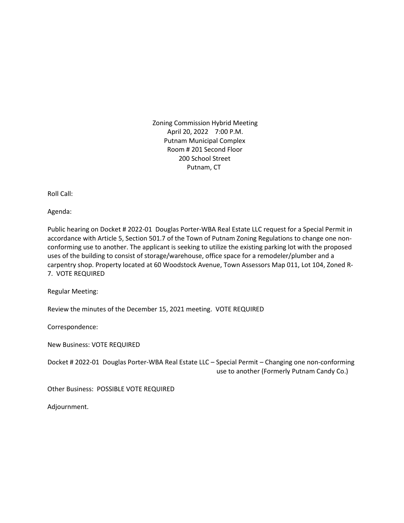Zoning Commission Hybrid Meeting April 20, 2022 7:00 P.M. Putnam Municipal Complex Room # 201 Second Floor 200 School Street Putnam, CT

Roll Call:

Agenda:

Public hearing on Docket # 2022-01 Douglas Porter-WBA Real Estate LLC request for a Special Permit in accordance with Article 5, Section 501.7 of the Town of Putnam Zoning Regulations to change one nonconforming use to another. The applicant is seeking to utilize the existing parking lot with the proposed uses of the building to consist of storage/warehouse, office space for a remodeler/plumber and a carpentry shop. Property located at 60 Woodstock Avenue, Town Assessors Map 011, Lot 104, Zoned R-7. VOTE REQUIRED

Regular Meeting:

Review the minutes of the December 15, 2021 meeting. VOTE REQUIRED

Correspondence:

New Business: VOTE REQUIRED

Docket # 2022-01 Douglas Porter-WBA Real Estate LLC – Special Permit – Changing one non-conforming use to another (Formerly Putnam Candy Co.)

Other Business: POSSIBLE VOTE REQUIRED

Adjournment.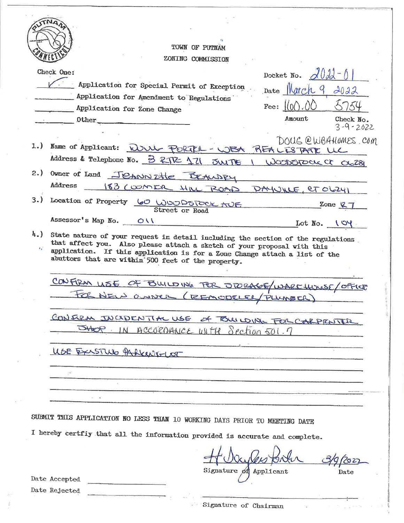|                                  | TOWN OF PUTNAM                                                                                                                                                                                                                                                                                  |
|----------------------------------|-------------------------------------------------------------------------------------------------------------------------------------------------------------------------------------------------------------------------------------------------------------------------------------------------|
|                                  | ZONING COMMISSION                                                                                                                                                                                                                                                                               |
|                                  | Check One:<br>Docket No. $d\theta d^{-1}$                                                                                                                                                                                                                                                       |
|                                  | Application for Special Permit of Exception                                                                                                                                                                                                                                                     |
|                                  | Date March 9, 2022<br>Application for Amendment to Regulations                                                                                                                                                                                                                                  |
|                                  | Fee: $ (0() \rangle)$<br>Application for Zone Change                                                                                                                                                                                                                                            |
|                                  | Amount<br>Check No.<br>Other                                                                                                                                                                                                                                                                    |
|                                  | $3 - 9 - 2022$                                                                                                                                                                                                                                                                                  |
|                                  | DOUG @WBAHOMES.COM<br>1.) Name of Applicant: WWW PORTRA - WBA REALESTATE UC                                                                                                                                                                                                                     |
|                                  | Address & Telephone No. 3 RTR 171 JUITE I WOODSTOCK OF OG281                                                                                                                                                                                                                                    |
|                                  | 2.) Owner of Land JEANN THE BEAUDRY                                                                                                                                                                                                                                                             |
|                                  | Address<br>183 COOMER HILL ROAD DAYUNLE, et OLZYI                                                                                                                                                                                                                                               |
| 3.                               | Location of Property 60 WOODSTOCK AUF                                                                                                                                                                                                                                                           |
|                                  | Zone $R_7$<br>Street or Road                                                                                                                                                                                                                                                                    |
|                                  | Assessor's Map No. 011<br>Lot $No.$ $\sqrt{Oy}$                                                                                                                                                                                                                                                 |
| $l_{\rm{L}}$ )<br>$\mathbf{z}_1$ | State nature of your request in detail including the section of the regulations.<br>that affect you. Also please attach a sketch of your proposal with this<br>application. If this application is for a Zone Change attach a list of the<br>abuttors that are within 500 feet of the property. |
|                                  | CONFIRM LISE OF BUILDING FOR SPORAGE/WARE HUMSE/OFFICE                                                                                                                                                                                                                                          |
|                                  | FOR NEW OWNER (REMODELEL/PLUMBER)                                                                                                                                                                                                                                                               |
|                                  |                                                                                                                                                                                                                                                                                                 |
|                                  | CONFIRM JUCIDENTIAL USE OF TOWLOWE FOR CARPENTER                                                                                                                                                                                                                                                |
|                                  | 5460 IN ACCORDANCE WITH Section 501.7                                                                                                                                                                                                                                                           |
|                                  | USE EXASTRIO PARKENG-LOT                                                                                                                                                                                                                                                                        |
|                                  |                                                                                                                                                                                                                                                                                                 |
|                                  |                                                                                                                                                                                                                                                                                                 |
|                                  |                                                                                                                                                                                                                                                                                                 |
|                                  |                                                                                                                                                                                                                                                                                                 |
|                                  | SUBMIT THIS APPLICATION NO LESS THAN 10 WORKING DAYS PRIOR TO MEETING DATE                                                                                                                                                                                                                      |
|                                  | I hereby certfly that all the information provided is accurate and complete.                                                                                                                                                                                                                    |
|                                  |                                                                                                                                                                                                                                                                                                 |
|                                  | Signature of Applicant<br>Date<br>Date Accepted                                                                                                                                                                                                                                                 |
|                                  |                                                                                                                                                                                                                                                                                                 |

b.

 $e^{-\Sigma}$ 

ź

Date Rejected

Signature of Chairman

 $\sim$  Sec.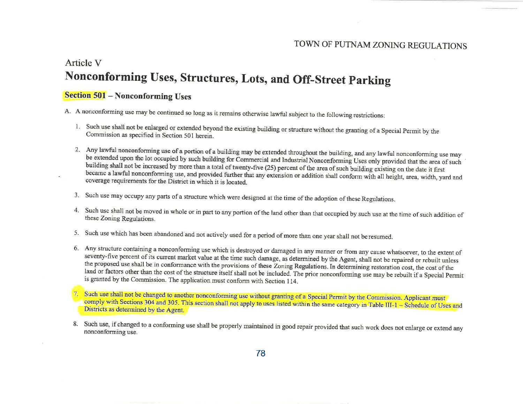#### TOWN OF PUTNAM ZONING REGULATIONS

# Article V Nonconforming Uses, Structures, Lots, and Off-Street Parking

### **Section 501 - Nonconforming Uses**

A. A nonconforming use may be continued so long as it remains otherwise lawful subject to the following restrictions:

- 1. Such use shall not be enlarged or extended beyond the existing building or structure without the granting of a Special Permit by the Commission as specified in Section 501 herein.
- 2. Any lawful nonconforming use of a portion of a building may be extended throughout the building, and any lawful nonconforming use may be extended upon the lot occupied by such building for Commercial and Industrial Nonconforming Uses only provided that the area of such building shall not be increased by more than a total of twenty-five (25) percent of the area of such building existing on the date it first became a lawful nonconforming use, and provided further that any extension or addition shall conform with all height, area, width, yard and coverage requirements for the District in which it is located.
- 3. Such use may occupy any parts of a structure which were designed at the time of the adoption of these Regulations.
- 4. Such use shall not be moved in whole or in part to any portion of the land other than that occupied by such use at the time of such addition of these Zoning Regulations.
- 5. Such use which has been abandoned and not actively used for a period of more than one year shall not be resumed.
- 6. Any structure containing a nonconforming use which is destroyed or damaged in any manner or from any cause whatsoever, to the extent of seventy-five percent of its current market value at the time such damage, as determined by the Agent, shall not be repaired or rebuilt unless the proposed use shall be in conformance with the provisions of these Zoning Regulations. In determining restoration cost, the cost of the land or factors other than the cost of the structure itself shall not be included. The prior nonconforming use may be rebuilt if a Special Permit is granted by the Commission. The application must conform with Section 114.
- Such use shall not be changed to another nonconforming use without granting of a Special Permit by the Commission. Applicant must comply with Sections 304 and 305. This section shall not apply to uses listed within the same category in Table III-1 - Schedule of Uses and Districts as determined by the Agent.
- 8. Such use, if changed to a conforming use shall be properly maintained in good repair provided that such work does not enlarge or extend any nonconforming use.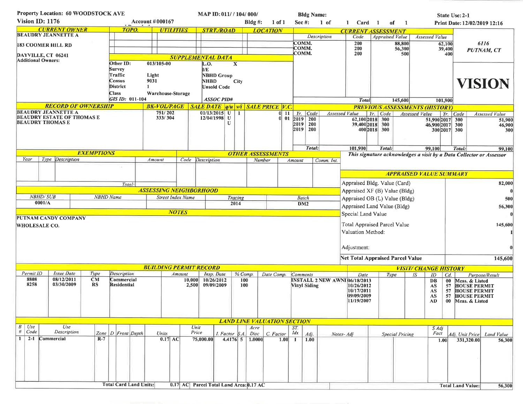| Property Location: 60 WOODSTOCK AVE                                                    |                                                                  |                                   |                            |                           |                                                                           |                                             | MAP ID: 011/ / 104/ 000/          |                   |            |                 |                                                                                     | <b>Bldg Name:</b>             |                                                    |                  |                        |                                                  | State Use: 2-1                 |                                                                     |  |  |  |
|----------------------------------------------------------------------------------------|------------------------------------------------------------------|-----------------------------------|----------------------------|---------------------------|---------------------------------------------------------------------------|---------------------------------------------|-----------------------------------|-------------------|------------|-----------------|-------------------------------------------------------------------------------------|-------------------------------|----------------------------------------------------|------------------|------------------------|--------------------------------------------------|--------------------------------|---------------------------------------------------------------------|--|--|--|
| Vision ID: 1176                                                                        |                                                                  |                                   |                            | <b>Account #000167</b>    |                                                                           |                                             | Bldg $#$ :                        |                   |            | Sec $#$ :       | 1 of                                                                                | 1 Card 1                      | of                                                 | $\overline{1}$   |                        |                                                  | Print Date: 12/02/2019 12:16   |                                                                     |  |  |  |
| <b>CURRENT OWNER</b><br>TOPO.                                                          |                                                                  |                                   |                            |                           | <b>UTILITIES</b>                                                          |                                             | <b>STRT./ROAD</b>                 |                   |            | <b>LOCATION</b> |                                                                                     |                               | <b>CURRENT ASSESSMENT</b>                          |                  |                        |                                                  |                                |                                                                     |  |  |  |
| <b>BEAUDRY JEANNETTE A</b>                                                             |                                                                  |                                   |                            |                           |                                                                           |                                             |                                   |                   |            | COMM.           | <b>Description</b>                                                                  | Code                          | <b>Appraised Value</b>                             |                  | <b>Assessed Value</b>  |                                                  |                                |                                                                     |  |  |  |
| <b>183 COOMER HILL RD</b>                                                              |                                                                  |                                   |                            |                           |                                                                           |                                             |                                   |                   |            | COMM.           |                                                                                     | 200<br>200                    |                                                    | 88,800<br>56,300 |                        | 6116<br>62,100<br>39,400<br>PUTNAM, CT           |                                |                                                                     |  |  |  |
| DAYVILLE, CT 06241<br><b>Additional Owners:</b>                                        |                                                                  |                                   |                            |                           |                                                                           | <b>SUPPLEMENTAL DATA</b>                    |                                   |                   | COMM.      |                 | 200                                                                                 | 500                           |                                                    |                  | 400                    |                                                  |                                |                                                                     |  |  |  |
|                                                                                        |                                                                  |                                   |                            | Other ID:                 | 013/105-00                                                                |                                             | L.O.<br>$\boldsymbol{\mathrm{X}}$ |                   |            |                 |                                                                                     |                               |                                                    |                  |                        |                                                  |                                |                                                                     |  |  |  |
|                                                                                        |                                                                  |                                   |                            | Survey<br>Traffic         | Light                                                                     |                                             | I/E<br><b>NBHD Group</b>          |                   |            |                 |                                                                                     |                               |                                                    |                  |                        |                                                  |                                |                                                                     |  |  |  |
|                                                                                        |                                                                  |                                   |                            | Census                    | 9031                                                                      |                                             | NHBD                              | City              |            |                 |                                                                                     |                               |                                                    |                  |                        |                                                  |                                | <b>VISION</b>                                                       |  |  |  |
|                                                                                        |                                                                  |                                   |                            | District                  | 1.                                                                        |                                             | <b>Unsold Code</b>                |                   |            |                 |                                                                                     |                               |                                                    |                  |                        |                                                  |                                |                                                                     |  |  |  |
|                                                                                        |                                                                  |                                   |                            | Class<br>GIS ID: 011-104  | Warehouse-Storage                                                         |                                             | ASSOC PID#                        |                   |            |                 |                                                                                     |                               | <b>Total</b>                                       |                  | 145,600                |                                                  |                                |                                                                     |  |  |  |
|                                                                                        |                                                                  |                                   | <b>RECORD OF OWNERSHIP</b> |                           | <b>BK-VOL/PAGE</b> SALE DATE <i>q</i> /u <i>vi</i> SALE PRICE <i>V.C.</i> |                                             |                                   |                   |            |                 |                                                                                     |                               |                                                    |                  |                        | 101,900<br><b>PREVIOUS ASSESSMENTS (HISTORY)</b> |                                |                                                                     |  |  |  |
| <b>BEAUDRY JEANNETTE A</b>                                                             |                                                                  |                                   |                            |                           | 751/202                                                                   |                                             | $01/13/2015$ U 1                  |                   |            | $0$   11        | $Yr$ , Code                                                                         |                               | <b>Assessed Value</b>                              | Yr. Code         |                        | Assessed Value                                   | Yr. Code                       | Assessed Value                                                      |  |  |  |
| <b>BEAUDRY THOMAS E</b>                                                                |                                                                  | <b>BEAUDRY ESTATE OF THOMAS E</b> |                            |                           | 333/304                                                                   |                                             | 12/04/1998 U                      | $\mathbf{U}$      |            | 0 01            | $2019$ 200<br>2019   200                                                            |                               | 62,100 2018 300<br>39,400 2018 300                 |                  |                        | 51,900 2017 300                                  |                                | 51,900                                                              |  |  |  |
|                                                                                        |                                                                  |                                   |                            |                           |                                                                           |                                             |                                   |                   |            |                 | 2019   200                                                                          |                               |                                                    | 400 2018 300     |                        | 46,900 2017 300                                  | 300 2017 300                   | 46,900<br>300                                                       |  |  |  |
|                                                                                        |                                                                  |                                   |                            |                           |                                                                           |                                             |                                   |                   |            |                 |                                                                                     |                               |                                                    |                  |                        |                                                  |                                |                                                                     |  |  |  |
|                                                                                        |                                                                  |                                   |                            |                           |                                                                           |                                             |                                   |                   |            |                 |                                                                                     | Total:                        | 101,900                                            | Total:           |                        | 99,100                                           | Total:                         | 99,100                                                              |  |  |  |
|                                                                                        |                                                                  |                                   | <b>EXEMPTIONS</b>          |                           |                                                                           |                                             | <b>OTHER ASSESSMENTS</b>          |                   |            |                 |                                                                                     |                               |                                                    |                  |                        |                                                  |                                | This signature acknowledges a visit by a Data Collector or Assessor |  |  |  |
| Year                                                                                   |                                                                  | Type Description                  |                            |                           | Amount                                                                    |                                             | Code Description                  |                   | Number     |                 | Amount                                                                              | Comm. Int.                    |                                                    |                  |                        |                                                  |                                |                                                                     |  |  |  |
|                                                                                        |                                                                  |                                   |                            |                           |                                                                           |                                             |                                   |                   |            |                 |                                                                                     |                               |                                                    |                  |                        |                                                  | <b>APPRAISED VALUE SUMMARY</b> |                                                                     |  |  |  |
|                                                                                        |                                                                  |                                   |                            |                           |                                                                           |                                             |                                   |                   |            |                 |                                                                                     |                               |                                                    |                  |                        |                                                  |                                |                                                                     |  |  |  |
|                                                                                        |                                                                  |                                   |                            | Total:                    |                                                                           |                                             |                                   |                   |            |                 |                                                                                     |                               | Appraised Bldg. Value (Card)                       |                  |                        | 82,000                                           |                                |                                                                     |  |  |  |
|                                                                                        | <b>NBHD/SUB</b>                                                  |                                   |                            | <b>NBHD</b> Name          | <b>ASSESSING NEIGHBORHOOD</b>                                             |                                             |                                   |                   |            |                 |                                                                                     | Appraised XF (B) Value (Bldg) |                                                    |                  |                        |                                                  |                                |                                                                     |  |  |  |
|                                                                                        | 0001/A                                                           |                                   |                            |                           |                                                                           | <b>Street Index Name</b><br>Tracing<br>2014 |                                   |                   |            |                 | <b>Batch</b><br>Appraised OB (L) Value (Bldg)<br>DM2<br>Appraised Land Value (Bldg) |                               |                                                    |                  |                        | 500                                              |                                |                                                                     |  |  |  |
|                                                                                        | <b>NOTES</b>                                                     |                                   |                            |                           |                                                                           |                                             |                                   |                   |            | 56,300          |                                                                                     |                               |                                                    |                  |                        |                                                  |                                |                                                                     |  |  |  |
|                                                                                        |                                                                  | PUTNAM CANDY COMPANY              |                            |                           |                                                                           |                                             |                                   |                   |            |                 |                                                                                     |                               | Special Land Value                                 |                  |                        |                                                  |                                |                                                                     |  |  |  |
| <b>WHOLESALE CO.</b>                                                                   |                                                                  |                                   |                            |                           |                                                                           |                                             |                                   |                   |            |                 |                                                                                     |                               | <b>Total Appraised Parcel Value</b>                |                  |                        |                                                  |                                | 145,600                                                             |  |  |  |
|                                                                                        |                                                                  |                                   |                            |                           |                                                                           |                                             |                                   | Valuation Method: |            |                 |                                                                                     |                               |                                                    |                  |                        |                                                  |                                |                                                                     |  |  |  |
|                                                                                        |                                                                  |                                   |                            |                           |                                                                           |                                             |                                   |                   |            |                 |                                                                                     |                               |                                                    |                  |                        |                                                  |                                |                                                                     |  |  |  |
|                                                                                        |                                                                  |                                   |                            |                           |                                                                           |                                             |                                   |                   |            |                 |                                                                                     |                               | Adjustment:                                        |                  |                        |                                                  |                                |                                                                     |  |  |  |
|                                                                                        |                                                                  |                                   |                            |                           |                                                                           |                                             |                                   |                   |            |                 |                                                                                     |                               | <b>Net Total Appraised Parcel Value</b>            |                  |                        |                                                  |                                | 145,600                                                             |  |  |  |
|                                                                                        |                                                                  |                                   |                            |                           | <b>BUILDING PERMIT RECORD</b>                                             |                                             |                                   |                   |            |                 |                                                                                     |                               |                                                    |                  |                        | <b>VISIT/ CHANGE HISTORY</b>                     |                                |                                                                     |  |  |  |
| Permit ID<br>8808                                                                      |                                                                  | <b>Issue Date</b><br>08/12/2011   | Type<br>CM                 | Description               |                                                                           | Amount                                      | Insp. Date                        |                   | % Comp.    | Date Comp.      | Comments                                                                            |                               | Date                                               | Type             |                        | IS<br>ID                                         | $Cd$ .                         | Purpose/Result                                                      |  |  |  |
| 8258                                                                                   |                                                                  | 03/30/2009                        | RS                         | Commercial<br>Residential |                                                                           | 2,500                                       | 10,000 10/26/2012<br>09/09/2009   |                   | 100<br>100 |                 | Vinyl Siding                                                                        |                               | <b>INSTALL 2 NEW AWNI 06/18/2013</b><br>10/26/2012 |                  |                        | DB<br>AS                                         | 57                             | 00 Meas. & Listed<br><b>HOUSE PERMIT</b>                            |  |  |  |
|                                                                                        |                                                                  |                                   |                            |                           |                                                                           |                                             |                                   |                   |            |                 |                                                                                     |                               | 10/17/2011<br>09/09/2009                           |                  |                        | AS                                               | 57                             | <b>HOUSE PERMIT</b>                                                 |  |  |  |
|                                                                                        |                                                                  |                                   |                            |                           |                                                                           |                                             |                                   |                   |            |                 |                                                                                     |                               | 11/19/2007                                         |                  |                        | AS<br>AD.                                        | 57<br>$00\,$                   | <b>HOUSE PERMIT</b><br>Meas. & Listed                               |  |  |  |
|                                                                                        |                                                                  |                                   |                            |                           |                                                                           |                                             |                                   |                   |            |                 |                                                                                     |                               |                                                    |                  |                        |                                                  |                                |                                                                     |  |  |  |
|                                                                                        |                                                                  |                                   |                            |                           |                                                                           |                                             |                                   |                   |            |                 |                                                                                     |                               |                                                    |                  |                        |                                                  |                                |                                                                     |  |  |  |
| $B \mid Use$                                                                           | <b>LAND LINE VALUATION SECTION</b><br>Use<br>Unit<br>Acre<br>ST. |                                   |                            |                           |                                                                           |                                             |                                   |                   |            |                 |                                                                                     |                               |                                                    |                  |                        |                                                  |                                |                                                                     |  |  |  |
| $\#$   Code                                                                            |                                                                  | Description                       |                            | Zone <i>D</i> Front Depth | Units                                                                     | Price                                       | I. Factor                         | S.A               | Disc       | C. Factor       | Idx<br>Adj.                                                                         |                               | Notes-Adj                                          |                  | <b>Special Pricing</b> | $S \, Adj$<br>Fact                               |                                | Adj. Unit Price<br>Land Value                                       |  |  |  |
| 1 <sup>1</sup><br>$2 - 1$<br>Commercial<br>$R-7$<br>0.17 AC                            |                                                                  |                                   |                            |                           |                                                                           |                                             | 75,000.00                         | $4.4176$ 5        | 1.0000     | 1.00            | 1.00<br>-1                                                                          |                               |                                                    |                  |                        | 1.00                                             |                                | 331,320.00<br>56,300                                                |  |  |  |
|                                                                                        |                                                                  |                                   |                            |                           |                                                                           |                                             |                                   |                   |            |                 |                                                                                     |                               |                                                    |                  |                        |                                                  |                                |                                                                     |  |  |  |
|                                                                                        |                                                                  |                                   |                            |                           |                                                                           |                                             |                                   |                   |            |                 |                                                                                     |                               |                                                    |                  |                        |                                                  |                                |                                                                     |  |  |  |
|                                                                                        |                                                                  |                                   |                            |                           |                                                                           |                                             |                                   |                   |            |                 |                                                                                     |                               |                                                    |                  |                        |                                                  |                                |                                                                     |  |  |  |
|                                                                                        |                                                                  |                                   |                            |                           |                                                                           |                                             |                                   |                   |            |                 |                                                                                     |                               |                                                    |                  |                        |                                                  |                                |                                                                     |  |  |  |
| <b>Total Card Land Units:</b><br>Parcel Total Land Area: 0.17 AC<br>$0.17 \text{ } AC$ |                                                                  |                                   |                            |                           |                                                                           |                                             |                                   |                   |            |                 |                                                                                     |                               |                                                    |                  |                        |                                                  |                                |                                                                     |  |  |  |
|                                                                                        |                                                                  |                                   |                            |                           |                                                                           |                                             |                                   |                   |            |                 |                                                                                     |                               |                                                    |                  |                        |                                                  |                                | <b>Total Land Value:</b><br>56,300                                  |  |  |  |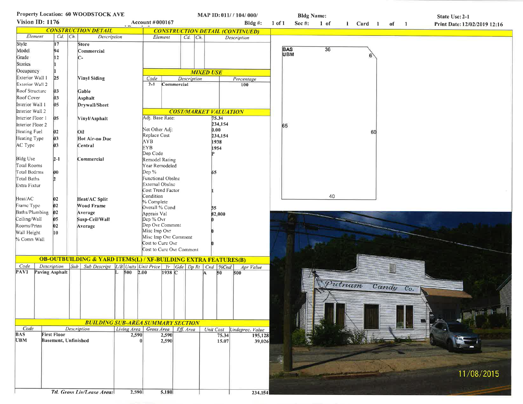|                            |                      |             | Property Location: 60 WOODSTOCK AVE                                           |            |                                |                |             |                              |                | MAP ID: 011/ / 104/ 000/               |            |            | <b>Bldg Name:</b> |        |               |           | State Use: 2-1 |                              |  |
|----------------------------|----------------------|-------------|-------------------------------------------------------------------------------|------------|--------------------------------|----------------|-------------|------------------------------|----------------|----------------------------------------|------------|------------|-------------------|--------|---------------|-----------|----------------|------------------------------|--|
| Vision ID: 1176            |                      |             |                                                                               |            | Account #000167                |                |             |                              |                | Bldg $#$ :                             | $1$ of $1$ | Sec #:     | $1$ of            |        | 1 Card 1 of 1 |           |                | Print Date: 12/02/2019 12:16 |  |
| <b>CONSTRUCTION DETAIL</b> |                      |             |                                                                               |            |                                |                |             |                              |                | <b>CONSTRUCTION DETAIL (CONTINUED)</b> |            |            |                   |        |               |           |                |                              |  |
| Element                    |                      | $Cd$ $Ch$ . | Description                                                                   |            | Element                        |                | $Cd$ $Ch$   |                              |                | Description                            |            |            |                   |        |               |           |                |                              |  |
| Style                      | 17                   |             | <b>Store</b>                                                                  |            |                                |                |             |                              |                |                                        |            |            |                   |        |               |           |                |                              |  |
| Model                      | 94                   |             | Commercial                                                                    |            |                                |                |             |                              |                |                                        |            | BAS<br>UBM | 36                |        |               |           |                |                              |  |
| Grade                      | 12                   |             | $C-$                                                                          |            |                                |                |             |                              |                |                                        |            |            |                   |        |               |           |                |                              |  |
| Stories                    |                      |             |                                                                               |            |                                |                |             |                              |                |                                        |            |            |                   |        |               |           |                |                              |  |
| Occupancy                  |                      |             |                                                                               |            |                                |                |             | <b>MIXED USE</b>             |                |                                        |            |            |                   |        |               |           |                |                              |  |
| Exterior Wall 1            | 25                   |             | <b>Vinyl Siding</b>                                                           |            | Code                           |                | Description |                              |                | Percentage                             |            |            |                   |        |               |           |                |                              |  |
| Exterior Wall 2            |                      |             |                                                                               |            | $2 - 1$                        | Commercial     |             |                              |                | 100                                    |            |            |                   |        |               |           |                |                              |  |
| Roof Structure             | $ 03\rangle$         |             | Gable                                                                         |            |                                |                |             |                              |                |                                        |            |            |                   |        |               |           |                |                              |  |
| Roof Cover                 | 03                   |             | Asphalt                                                                       |            |                                |                |             |                              |                |                                        |            |            |                   |        |               |           |                |                              |  |
| Interior Wall 1            | 05.                  |             | Drywall/Sheet                                                                 |            |                                |                |             |                              |                |                                        |            |            |                   |        |               |           |                |                              |  |
| Interior Wall 2            |                      |             |                                                                               |            |                                |                |             | <b>COST/MARKET VALUATION</b> |                |                                        |            |            |                   |        |               |           |                |                              |  |
| Interior Floor 1           | 05                   |             | Vinyl/Asphalt                                                                 |            | Adj. Base Rate:                |                |             |                              | 75.34          |                                        |            |            |                   |        |               |           |                |                              |  |
| Interior Floor 2           |                      |             |                                                                               |            |                                |                |             |                              | 234,154        |                                        |            | 65         |                   |        |               |           |                |                              |  |
| Heating Fuel               | 02                   |             | Oil                                                                           |            | Net Other Adj:                 |                |             |                              | 0.00           |                                        |            |            |                   |        | 60            |           |                |                              |  |
| Heating Type               | 03                   |             | Hot Air-no Duc                                                                |            | Replace Cost                   |                |             |                              | 234,154        |                                        |            |            |                   |        |               |           |                |                              |  |
|                            |                      |             |                                                                               |            | <b>AYB</b>                     |                |             |                              | 1938           |                                        |            |            |                   |        |               |           |                |                              |  |
| AC Type                    | 03                   |             | Central                                                                       |            | EYB                            |                |             |                              | 1954           |                                        |            |            |                   |        |               |           |                |                              |  |
|                            |                      |             |                                                                               |            | Dep Code                       |                |             |                              |                |                                        |            |            |                   |        |               |           |                |                              |  |
| <b>Bldg Use</b>            | $2 - 1$              |             | Commercial                                                                    |            | Remodel Rating                 |                |             |                              |                |                                        |            |            |                   |        |               |           |                |                              |  |
| Total Rooms                |                      |             |                                                                               |            | Year Remodeled                 |                |             |                              |                |                                        |            |            |                   |        |               |           |                |                              |  |
| Total Bedrms               | 00                   |             |                                                                               |            | $Dep$ %                        |                |             |                              | 65             |                                        |            |            |                   |        |               |           |                |                              |  |
| Total Baths                |                      |             |                                                                               |            | Functional Obslnc              |                |             |                              |                |                                        |            |            |                   |        |               |           |                |                              |  |
| Extra Fixtur               |                      |             |                                                                               |            | External Obslnc                |                |             |                              |                |                                        |            |            |                   |        |               |           |                |                              |  |
|                            |                      |             |                                                                               |            | Cost Trend Factor<br>Condition |                |             |                              |                |                                        |            |            | 40                |        |               |           |                |                              |  |
| Heat/AC                    | 02                   |             | Heat/AC Split                                                                 |            | % Complete                     |                |             |                              |                |                                        |            |            |                   |        |               |           |                |                              |  |
| Frame Type                 | 02                   |             | Wood Frame                                                                    |            | Overall % Cond                 |                |             |                              | 35             |                                        |            |            |                   |        |               |           |                |                              |  |
| Baths/Plumbing             | $ 02\rangle$         |             | Average                                                                       |            | Apprais Val                    |                |             |                              | 82,000         |                                        |            |            |                   |        |               |           |                |                              |  |
| Ceiling/Wall               | 05                   |             | Susp-Ceil/Wall                                                                |            | Dep % Ovr                      |                |             |                              |                |                                        |            |            |                   |        |               |           |                |                              |  |
| Rooms/Prtns                | 02                   |             | Average                                                                       |            | Dep Ovr Comment                |                |             |                              |                |                                        |            |            |                   |        |               |           |                |                              |  |
| Wall Height                | 10                   |             |                                                                               |            | Misc Imp Ovr                   |                |             |                              |                |                                        |            |            |                   |        |               |           |                |                              |  |
| % Comn Wall                |                      |             |                                                                               |            | Misc Imp Ovr Comment           |                |             |                              |                |                                        |            |            |                   |        |               |           |                |                              |  |
|                            |                      |             |                                                                               |            | Cost to Cure Ovr               |                |             |                              |                |                                        |            |            |                   |        |               |           |                |                              |  |
|                            |                      |             |                                                                               |            | Cost to Cure Ovr Comment       |                |             |                              |                |                                        |            |            |                   |        |               |           |                |                              |  |
|                            |                      |             | <b>OB-OUTBUILDING &amp; YARD ITEMS(L) / XF-BUILDING EXTRA FEATURES(B)</b>     |            |                                |                |             |                              |                |                                        |            |            |                   |        |               |           |                |                              |  |
| Code                       | Description          |             | Sub   Sub Descript   L/B   Units   Unit Price   Yr   Gde   Dp Rt   Cnd   %Cnd |            |                                |                |             |                              |                | Apr Value                              |            |            |                   |        |               |           |                |                              |  |
| PAV1                       | Paving Asphalt       |             |                                                                               | $500$ 2.00 |                                | 1938 C         |             | A.                           | 50             | 500                                    |            |            |                   |        |               |           |                |                              |  |
|                            |                      |             |                                                                               |            |                                |                |             |                              |                |                                        |            |            |                   |        |               |           |                |                              |  |
|                            |                      |             |                                                                               |            |                                |                |             |                              |                |                                        |            |            |                   | Putnam |               | Candy Co. |                |                              |  |
|                            |                      |             |                                                                               |            |                                |                |             |                              |                |                                        |            |            |                   |        |               |           |                |                              |  |
|                            |                      |             |                                                                               |            |                                |                |             |                              |                |                                        |            |            |                   |        |               |           |                |                              |  |
|                            |                      |             |                                                                               |            |                                |                |             |                              |                |                                        |            |            |                   |        |               |           |                |                              |  |
|                            |                      |             |                                                                               |            |                                |                |             |                              |                |                                        |            |            |                   |        |               |           |                |                              |  |
|                            |                      |             |                                                                               |            |                                |                |             |                              |                |                                        |            |            |                   |        |               |           |                |                              |  |
| Code                       |                      |             | <b>BUILDING SUB-AREA SUMMARY SECTION</b>                                      |            |                                |                |             |                              |                |                                        |            |            |                   |        |               |           |                |                              |  |
| <b>BAS</b>                 | <b>First Floor</b>   |             | <b>Description</b>                                                            | 2,590      | Living Area Gross Area         |                | Eff. Area   |                              |                | Unit Cost Undeprec. Value              |            |            |                   |        |               |           |                |                              |  |
| <b>UBM</b>                 | Basement, Unfinished |             |                                                                               |            |                                | 2,590<br>2,590 |             |                              | 75.34<br>15.07 | 195,128<br>39,026                      |            |            |                   |        |               |           |                |                              |  |
|                            |                      |             |                                                                               |            |                                |                |             |                              |                |                                        |            |            |                   |        |               |           |                |                              |  |
|                            |                      |             |                                                                               |            |                                |                |             |                              |                |                                        |            |            |                   |        |               |           |                |                              |  |
|                            |                      |             |                                                                               |            |                                |                |             |                              |                |                                        |            |            |                   |        |               |           |                |                              |  |
|                            |                      |             |                                                                               |            |                                |                |             |                              |                |                                        |            |            |                   |        |               |           |                |                              |  |
|                            |                      |             |                                                                               |            |                                |                |             |                              |                |                                        |            |            |                   |        |               |           |                | 11/08/2015                   |  |
|                            |                      |             |                                                                               |            |                                |                |             |                              |                |                                        |            |            |                   |        |               |           |                |                              |  |
|                            |                      |             |                                                                               |            |                                |                |             |                              |                |                                        |            |            |                   |        |               |           |                |                              |  |
|                            |                      |             | <b>Ttl. Gross Liv/Lease Area:</b>                                             | 2,590      |                                | 5,180          |             |                              |                | 234,154                                |            |            |                   |        |               |           |                |                              |  |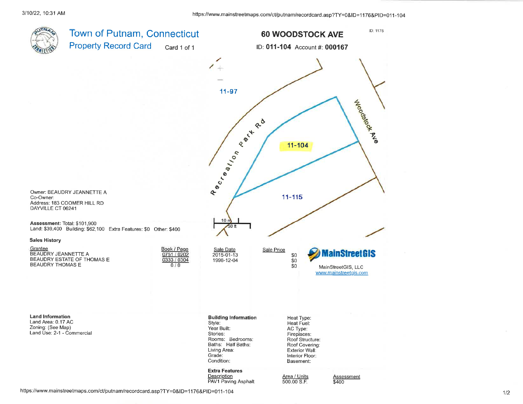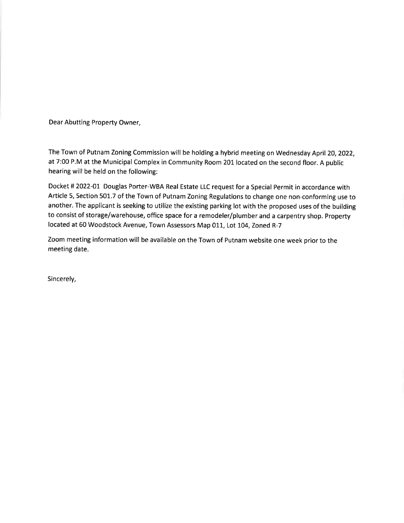Dear Abutting Property Owner,

The Town of Putnam Zoning Commission will be holding a hybrid meeting on Wednesday April 20, 2022, at 7:00 P.M at the Municipal Complex in Community Room 201 located on the second floor. A public hearing will be held on the following:

Docket # 2022-01 Douglas Porter-WBA Real Estate LLC request for a Special Permit in accordance with Article 5, Section 501.7 of the Town of Putnam Zoning Regulations to change one non-conforming use to another. The applicant is seeking to utilize the existing parking lot with the proposed uses of the building to consist of storage/warehouse, office space for a remodeler/plumber and a carpentry shop. Property located at 60 Woodstock Avenue, Town Assessors Map 011, Lot 104, Zoned R-7

Zoom meeting information will be available on the Town of Putnam website one week prior to the meeting date.

Sincerely,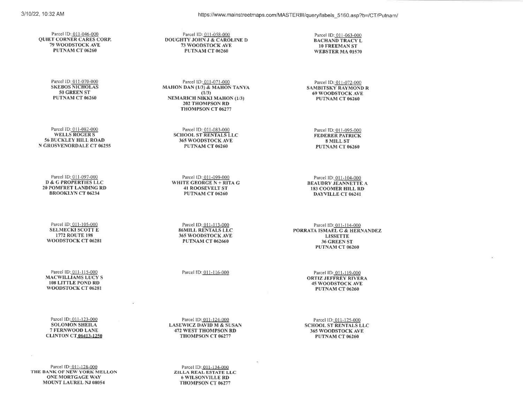https://www.mainstreetmaps.com/MASTERIII/query/labels 5160.asp?b=/CT/Putnam/

Parcel ID: 011-046-000 **QUIET CORNER CARES CORP. 79 WOODSTOCK AVE** PUTNAM CT 06260

> Parcel ID: 011-070-000 **SKEBOS NICHOLAS** 50 GREEN ST PUTNAM CT 06260

Parcel ID: 011-082-000 **WELLS ROGERS 56 BUCKLEY HILL ROAD** N GROSVENORDALE CT 06255

Parcel ID: 011-097-000 **D & G PROPERTIES LLC 20 POMFRET LANDING RD BROOKLYN CT 06234** 

Parcel ID: 011-105-000 **SELMECKI SCOTT E** 1772 ROUTE 198 WOODSTOCK CT 06281

Parcel ID: 011-115-000 **MACWILLIAMS LUCY S 108 LITTLE POND RD** WOODSTOCK CT 06281

Parcel 1D: 011-123-000 **SOLOMON SHEILA** 7 FERNWOOD LANE **CLINTON CT\_06413-1250** 

Parcel ID: 011-128-000 THE BANK OF NEW YORK MELLON **ONE MORTGAGE WAY** MOUNT LAUREL NJ 08054

Parcel ID: 011-058-000 DOUGHTY JOHN J & CAROLINE D 73 WOODSTOCK AVE PUTNAM CT 06260

Parcel ID: 011-071-000 **MAHON DAN (1/3) & MAHON TANYA**  $(1/3)$ **NEMARICH NIKKI MAHON (1/3) 202 THOMPSON RD** THOMPSON CT 06277

> Parcel ID: 011-083-000 **SCHOOL ST RENTALS LLC** 365 WOODSTOCK AVE PUTNAM CT 06260

Parcel ID: 011-099-000 WHITE GEORGE  $N + RITA$  G **41 ROOSEVELT ST** PUTNAM CT 06260

Parcel ID: 011-113-000 **86MILL RENTALS LLC** 365 WOODSTOCK AVE **PUTNAM CT 062660** 

Parcel ID: 011-116-000

Parcel 1D: 011-124-000 **LASEWICZ DAVID M & SUSAN 472 WEST THOMPSON RD** THOMPSON CT 06277

Parcel ID: 011-134-000 ZILLA REAL ESTATE LLC **6 WILSONVILLE RD** THOMPSON CT 06277

Parcel ID: 011-063-000 **BACHAND TRACY L 10 FREEMAN ST** WEBSTER MA 01570

Parcel ID: 011-072-000 **SAMBITSKY RAYMOND R 69 WOODSTOCK AVE** PUTNAM CT 06260

Parcel ID: 011-095-000 **FEDERER PATRICK** 8 MILL ST PUTNAM CT 06260

Parcel 1D: 011-104-000 **BEAUDRY JEANNETTE A 183 COOMER HILL RD DAYVILLE CT 06241** 

Parcel ID: 011-114-000 PORRATA ISMAEL G & HERNANDEZ **LISSETTE** 36 GREEN ST PUTNAM CT 06260

> Parcel ID: 011-119-000 **ORTIZ JEFFREY RIVERA 45 WOODSTOCK AVE** PUTNAM CT 06260

Parcel ID: 011-125-000 **SCHOOL ST RENTALS LLC** 365 WOODSTOCK AVE PUTNAM CT 06260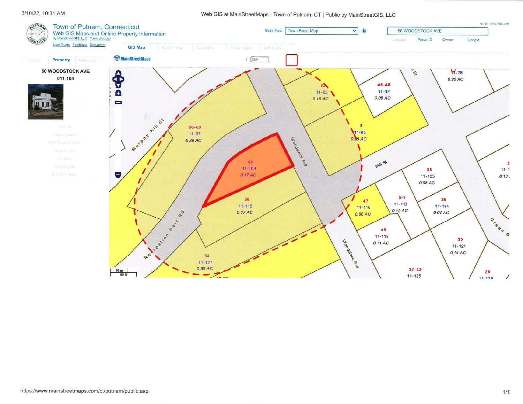#### 3/10/22, 10:31 AM

#### Web GIS at MainStreetMaps - Town of Putnam, CT | Public by MainStreetGIS, LLC